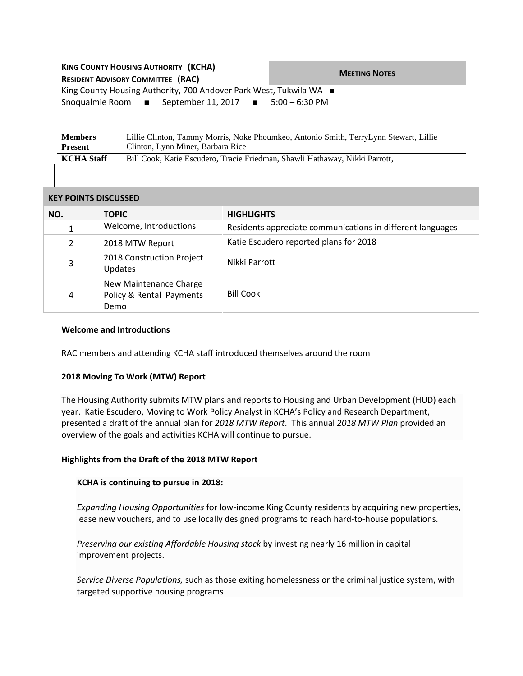| <b>KING COUNTY HOUSING AUTHORITY (KCHA)</b>                        | <b>MEETING NOTES</b> |  |
|--------------------------------------------------------------------|----------------------|--|
| <b>RESIDENT ADVISORY COMMITTEE (RAC)</b>                           |                      |  |
| King County Housing Authority, 700 Andover Park West, Tukwila WA ■ |                      |  |
| Snoqualmie Room $\blacksquare$ September 11, 2017 $\blacksquare$   | 5:00 – 6:30 PM       |  |

| <b>Members</b>    | Lillie Clinton, Tammy Morris, Noke Phoumkeo, Antonio Smith, TerryLynn Stewart, Lillie |  |
|-------------------|---------------------------------------------------------------------------------------|--|
| <b>Present</b>    | Clinton, Lynn Miner, Barbara Rice                                                     |  |
| <b>KCHA</b> Staff | Bill Cook, Katie Escudero, Tracie Friedman, Shawli Hathaway, Nikki Parrott,           |  |
|                   |                                                                                       |  |

## **KEY POINTS DISCUSSED**

| NO.            | <b>TOPIC</b>                                               | <b>HIGHLIGHTS</b>                                          |
|----------------|------------------------------------------------------------|------------------------------------------------------------|
|                | Welcome, Introductions                                     | Residents appreciate communications in different languages |
| $\overline{2}$ | 2018 MTW Report                                            | Katie Escudero reported plans for 2018                     |
| 3              | 2018 Construction Project<br>Updates                       | Nikki Parrott                                              |
| 4              | New Maintenance Charge<br>Policy & Rental Payments<br>Demo | <b>Bill Cook</b>                                           |

## **Welcome and Introductions**

RAC members and attending KCHA staff introduced themselves around the room

# **2018 Moving To Work (MTW) Report**

The Housing Authority submits MTW plans and reports to Housing and Urban Development (HUD) each year. Katie Escudero, Moving to Work Policy Analyst in KCHA's Policy and Research Department, presented a draft of the annual plan for *2018 MTW Report*. This annual *2018 MTW Plan* provided an overview of the goals and activities KCHA will continue to pursue.

# **Highlights from the Draft of the 2018 MTW Report**

#### **KCHA is continuing to pursue in 2018:**

*Expanding Housing Opportunities* for low-income King County residents by acquiring new properties, lease new vouchers, and to use locally designed programs to reach hard-to-house populations.

*Preserving our existing Affordable Housing stock* by investing nearly 16 million in capital improvement projects.

*Service Diverse Populations,* such as those exiting homelessness or the criminal justice system, with targeted supportive housing programs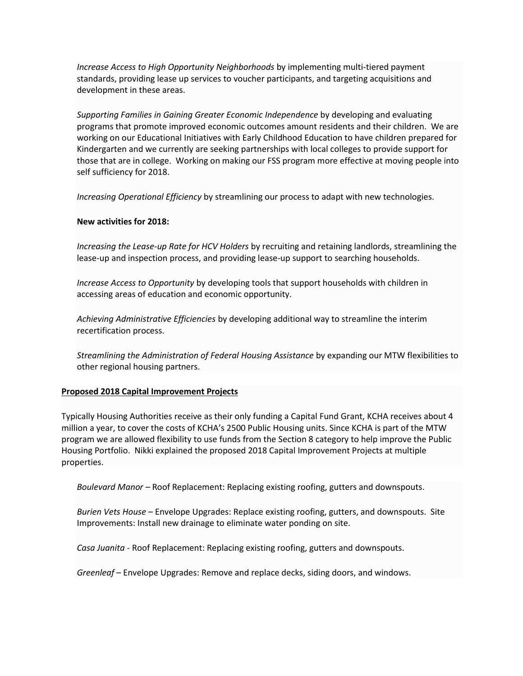*Increase Access to High Opportunity Neighborhoods* by implementing multi-tiered payment standards, providing lease up services to voucher participants, and targeting acquisitions and development in these areas.

*Supporting Families in Gaining Greater Economic Independence* by developing and evaluating programs that promote improved economic outcomes amount residents and their children. We are working on our Educational Initiatives with Early Childhood Education to have children prepared for Kindergarten and we currently are seeking partnerships with local colleges to provide support for those that are in college. Working on making our FSS program more effective at moving people into self sufficiency for 2018.

*Increasing Operational Efficiency* by streamlining our process to adapt with new technologies.

# **New activities for 2018:**

*Increasing the Lease-up Rate for HCV Holders* by recruiting and retaining landlords, streamlining the lease-up and inspection process, and providing lease-up support to searching households.

*Increase Access to Opportunity* by developing tools that support households with children in accessing areas of education and economic opportunity.

*Achieving Administrative Efficiencies* by developing additional way to streamline the interim recertification process.

*Streamlining the Administration of Federal Housing Assistance* by expanding our MTW flexibilities to other regional housing partners.

# **Proposed 2018 Capital Improvement Projects**

Typically Housing Authorities receive as their only funding a Capital Fund Grant, KCHA receives about 4 million a year, to cover the costs of KCHA's 2500 Public Housing units. Since KCHA is part of the MTW program we are allowed flexibility to use funds from the Section 8 category to help improve the Public Housing Portfolio. Nikki explained the proposed 2018 Capital Improvement Projects at multiple properties.

*Boulevard Manor –* Roof Replacement: Replacing existing roofing, gutters and downspouts.

*Burien Vets House –* Envelope Upgrades: Replace existing roofing, gutters, and downspouts. Site Improvements: Install new drainage to eliminate water ponding on site.

*Casa Juanita -* Roof Replacement: Replacing existing roofing, gutters and downspouts.

*Greenleaf –* Envelope Upgrades: Remove and replace decks, siding doors, and windows.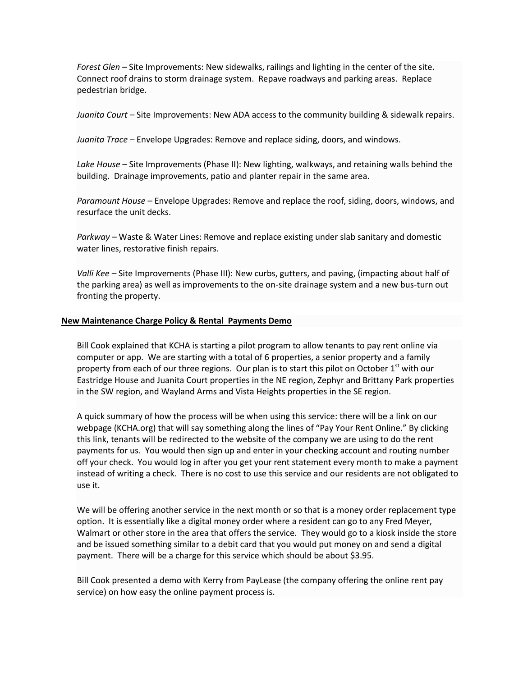*Forest Glen –* Site Improvements: New sidewalks, railings and lighting in the center of the site. Connect roof drains to storm drainage system. Repave roadways and parking areas. Replace pedestrian bridge.

*Juanita Court –* Site Improvements: New ADA access to the community building & sidewalk repairs.

*Juanita Trace –* Envelope Upgrades: Remove and replace siding, doors, and windows.

*Lake House –* Site Improvements (Phase II): New lighting, walkways, and retaining walls behind the building. Drainage improvements, patio and planter repair in the same area.

*Paramount House –* Envelope Upgrades: Remove and replace the roof, siding, doors, windows, and resurface the unit decks.

*Parkway –* Waste & Water Lines: Remove and replace existing under slab sanitary and domestic water lines, restorative finish repairs.

*Valli Kee –* Site Improvements (Phase III): New curbs, gutters, and paving, (impacting about half of the parking area) as well as improvements to the on-site drainage system and a new bus-turn out fronting the property.

#### **New Maintenance Charge Policy & Rental Payments Demo**

Bill Cook explained that KCHA is starting a pilot program to allow tenants to pay rent online via computer or app. We are starting with a total of 6 properties, a senior property and a family property from each of our three regions. Our plan is to start this pilot on October  $1<sup>st</sup>$  with our Eastridge House and Juanita Court properties in the NE region, Zephyr and Brittany Park properties in the SW region, and Wayland Arms and Vista Heights properties in the SE region.

A quick summary of how the process will be when using this service: there will be a link on our webpage (KCHA.org) that will say something along the lines of "Pay Your Rent Online." By clicking this link, tenants will be redirected to the website of the company we are using to do the rent payments for us. You would then sign up and enter in your checking account and routing number off your check. You would log in after you get your rent statement every month to make a payment instead of writing a check. There is no cost to use this service and our residents are not obligated to use it.

We will be offering another service in the next month or so that is a money order replacement type option. It is essentially like a digital money order where a resident can go to any Fred Meyer, Walmart or other store in the area that offers the service. They would go to a kiosk inside the store and be issued something similar to a debit card that you would put money on and send a digital payment. There will be a charge for this service which should be about \$3.95.

Bill Cook presented a demo with Kerry from PayLease (the company offering the online rent pay service) on how easy the online payment process is.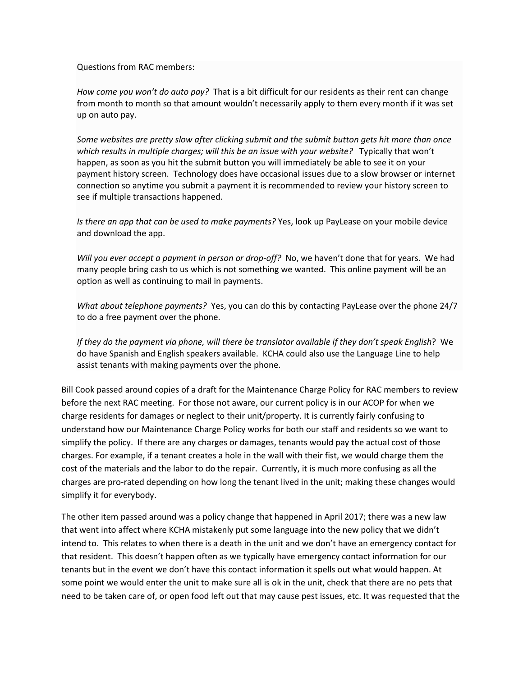Questions from RAC members:

*How come you won't do auto pay?* That is a bit difficult for our residents as their rent can change from month to month so that amount wouldn't necessarily apply to them every month if it was set up on auto pay.

*Some websites are pretty slow after clicking submit and the submit button gets hit more than once which results in multiple charges; will this be an issue with your website?* Typically that won't happen, as soon as you hit the submit button you will immediately be able to see it on your payment history screen. Technology does have occasional issues due to a slow browser or internet connection so anytime you submit a payment it is recommended to review your history screen to see if multiple transactions happened.

*Is there an app that can be used to make payments?* Yes, look up PayLease on your mobile device and download the app.

*Will you ever accept a payment in person or drop-off?* No, we haven't done that for years. We had many people bring cash to us which is not something we wanted. This online payment will be an option as well as continuing to mail in payments.

*What about telephone payments?* Yes, you can do this by contacting PayLease over the phone 24/7 to do a free payment over the phone.

If they do the payment via phone, will there be translator available if they don't speak English? We do have Spanish and English speakers available. KCHA could also use the Language Line to help assist tenants with making payments over the phone.

Bill Cook passed around copies of a draft for the Maintenance Charge Policy for RAC members to review before the next RAC meeting. For those not aware, our current policy is in our ACOP for when we charge residents for damages or neglect to their unit/property. It is currently fairly confusing to understand how our Maintenance Charge Policy works for both our staff and residents so we want to simplify the policy. If there are any charges or damages, tenants would pay the actual cost of those charges. For example, if a tenant creates a hole in the wall with their fist, we would charge them the cost of the materials and the labor to do the repair. Currently, it is much more confusing as all the charges are pro-rated depending on how long the tenant lived in the unit; making these changes would simplify it for everybody.

The other item passed around was a policy change that happened in April 2017; there was a new law that went into affect where KCHA mistakenly put some language into the new policy that we didn't intend to. This relates to when there is a death in the unit and we don't have an emergency contact for that resident. This doesn't happen often as we typically have emergency contact information for our tenants but in the event we don't have this contact information it spells out what would happen. At some point we would enter the unit to make sure all is ok in the unit, check that there are no pets that need to be taken care of, or open food left out that may cause pest issues, etc. It was requested that the